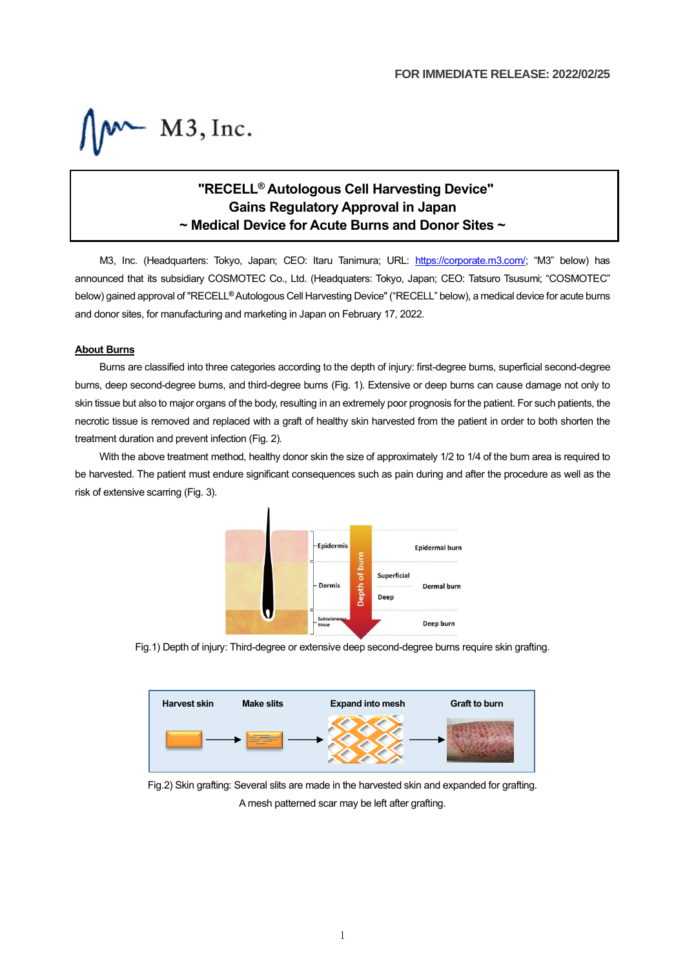$M$  M3, Inc.

# **"RECELL® Autologous Cell Harvesting Device" Gains Regulatory Approval in Japan ~ Medical Device for Acute Burns and Donor Sites ~**

M3, Inc. (Headquarters: Tokyo, Japan; CEO: Itaru Tanimura; URL: [https://corporate.m3.com/;](https://corporate.m3.com/) "M3" below) has announced that its subsidiary COSMOTEC Co., Ltd. (Headquaters: Tokyo, Japan; CEO: Tatsuro Tsusumi; "COSMOTEC" below) gained approval of "RECELL**®** Autologous Cell Harvesting Device" ("RECELL" below), a medical device for acute burns and donor sites, for manufacturing and marketing in Japan on February 17, 2022.

### **About Burns**

Burns are classified into three categories according to the depth of injury: first-degree burns, superficial second-degree burns, deep second-degree burns, and third-degree burns (Fig. 1). Extensive or deep burns can cause damage not only to skin tissue but also to major organs of the body, resulting in an extremely poor prognosis for the patient. For such patients, the necrotic tissue is removed and replaced with a graft of healthy skin harvested from the patient in order to both shorten the treatment duration and prevent infection (Fig. 2).

With the above treatment method, healthy donor skin the size of approximately 1/2 to 1/4 of the burn area is required to be harvested. The patient must endure significant consequences such as pain during and after the procedure as well as the risk of extensive scarring (Fig. 3).



Fig.1) Depth of injury: Third-degree or extensive deep second-degree burns require skin grafting.



Fig.2) Skin grafting: Several slits are made in the harvested skin and expanded for grafting. A mesh patterned scar may be left after grafting.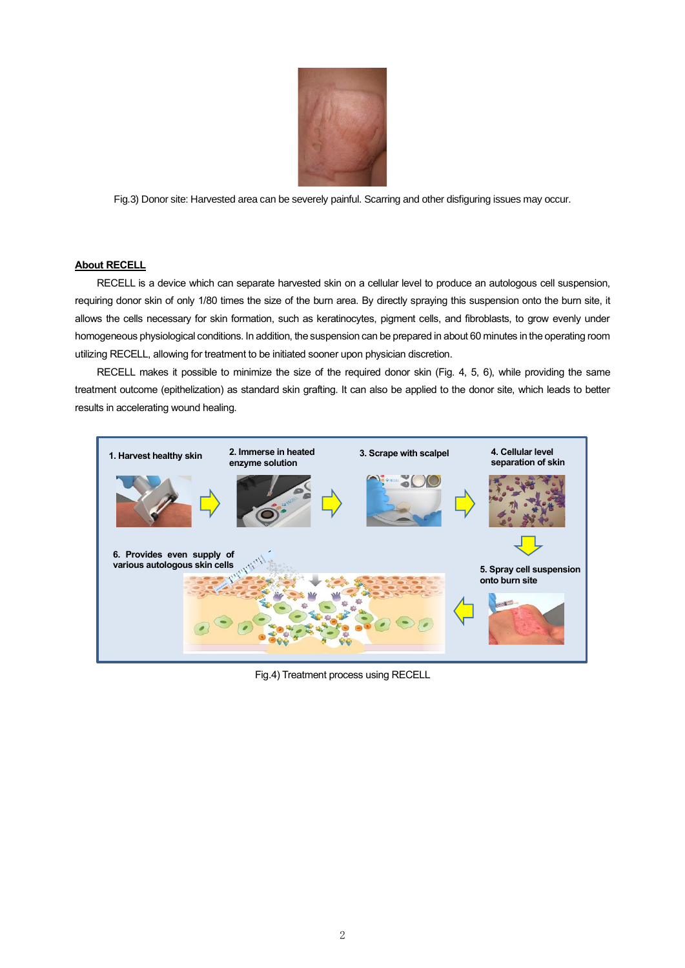

Fig.3) Donor site: Harvested area can be severely painful. Scarring and other disfiguring issues may occur.

### **About RECELL**

RECELL is a device which can separate harvested skin on a cellular level to produce an autologous cell suspension, requiring donor skin of only 1/80 times the size of the burn area. By directly spraying this suspension onto the burn site, it allows the cells necessary for skin formation, such as keratinocytes, pigment cells, and fibroblasts, to grow evenly under homogeneous physiological conditions. In addition, the suspension can be prepared in about 60 minutes in the operating room utilizing RECELL, allowing for treatment to be initiated sooner upon physician discretion.

RECELL makes it possible to minimize the size of the required donor skin (Fig. 4, 5, 6), while providing the same treatment outcome (epithelization) as standard skin grafting. It can also be applied to the donor site, which leads to better results in accelerating wound healing.



Fig.4) Treatment process using RECELL